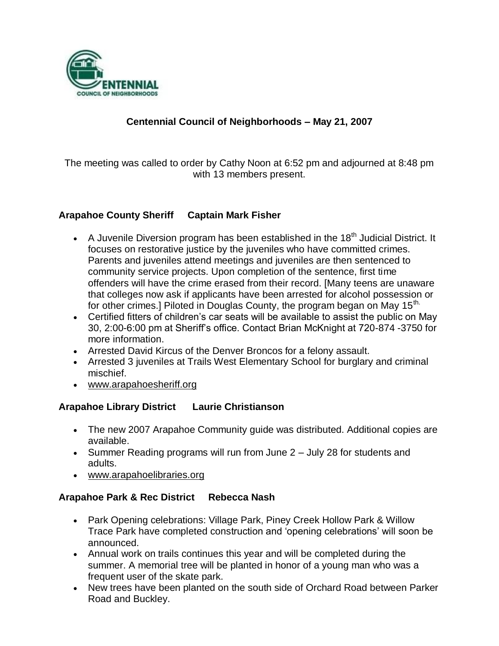

# **Centennial Council of Neighborhoods – May 21, 2007**

The meeting was called to order by Cathy Noon at 6:52 pm and adjourned at 8:48 pm with 13 members present.

## **Arapahoe County Sheriff Captain Mark Fisher**

- A Juvenile Diversion program has been established in the 18<sup>th</sup> Judicial District. It focuses on restorative justice by the juveniles who have committed crimes. Parents and juveniles attend meetings and juveniles are then sentenced to community service projects. Upon completion of the sentence, first time offenders will have the crime erased from their record. [Many teens are unaware that colleges now ask if applicants have been arrested for alcohol possession or for other crimes.] Piloted in Douglas County, the program began on May  $15<sup>th</sup>$ .
- Certified fitters of children's car seats will be available to assist the public on May 30, 2:00-6:00 pm at Sheriff's office. Contact Brian McKnight at 720-874 -3750 for more information.
- Arrested David Kircus of the Denver Broncos for a felony assault.
- Arrested 3 juveniles at Trails West Elementary School for burglary and criminal mischief.
- www.arapahoesheriff.org

## **Arapahoe Library District Laurie Christianson**

- The new 2007 Arapahoe Community guide was distributed. Additional copies are available.
- Summer Reading programs will run from June 2 July 28 for students and adults.
- www.arapahoelibraries.org

#### **Arapahoe Park & Rec District Rebecca Nash**

- Park Opening celebrations: Village Park, Piney Creek Hollow Park & Willow Trace Park have completed construction and 'opening celebrations' will soon be announced.
- Annual work on trails continues this year and will be completed during the summer. A memorial tree will be planted in honor of a young man who was a frequent user of the skate park.
- New trees have been planted on the south side of Orchard Road between Parker Road and Buckley.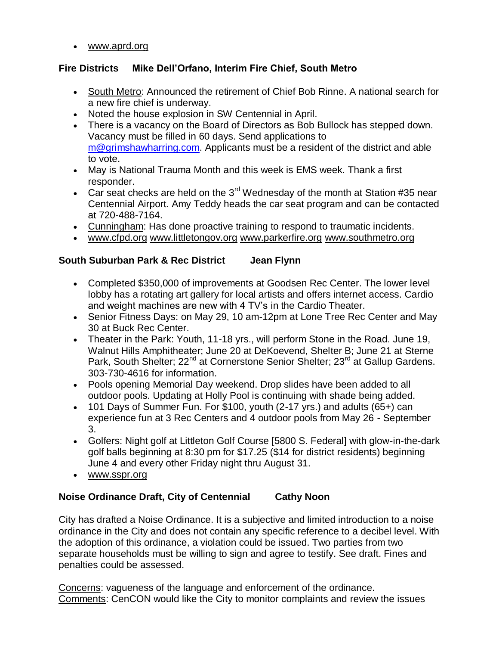www.aprd.org

## **Fire Districts Mike Dell'Orfano, Interim Fire Chief, South Metro**

- South Metro: Announced the retirement of Chief Bob Rinne. A national search for a new fire chief is underway.
- Noted the house explosion in SW Centennial in April.
- There is a vacancy on the Board of Directors as Bob Bullock has stepped down. Vacancy must be filled in 60 days. Send applications to [m@grimshawharring.com.](mailto:m@grimshawharring.com) Applicants must be a resident of the district and able to vote.
- May is National Trauma Month and this week is EMS week. Thank a first responder.
- Car seat checks are held on the  $3^{rd}$  Wednesday of the month at Station #35 near Centennial Airport. Amy Teddy heads the car seat program and can be contacted at 720-488-7164.
- Cunningham: Has done proactive training to respond to traumatic incidents.
- www.cfpd.org www.littletongov.org www.parkerfire.org www.southmetro.org

## **South Suburban Park & Rec District Jean Flynn**

- Completed \$350,000 of improvements at Goodsen Rec Center. The lower level lobby has a rotating art gallery for local artists and offers internet access. Cardio and weight machines are new with 4 TV's in the Cardio Theater.
- Senior Fitness Days: on May 29, 10 am-12pm at Lone Tree Rec Center and May 30 at Buck Rec Center.
- Theater in the Park: Youth, 11-18 yrs., will perform Stone in the Road. June 19, Walnut Hills Amphitheater; June 20 at DeKoevend, Shelter B; June 21 at Sterne Park, South Shelter; 22<sup>nd</sup> at Cornerstone Senior Shelter; 23<sup>rd</sup> at Gallup Gardens. 303-730-4616 for information.
- Pools opening Memorial Day weekend. Drop slides have been added to all outdoor pools. Updating at Holly Pool is continuing with shade being added.
- 101 Days of Summer Fun. For \$100, youth (2-17 yrs.) and adults (65+) can experience fun at 3 Rec Centers and 4 outdoor pools from May 26 - September 3.
- Golfers: Night golf at Littleton Golf Course [5800 S. Federal] with glow-in-the-dark golf balls beginning at 8:30 pm for \$17.25 (\$14 for district residents) beginning June 4 and every other Friday night thru August 31.
- www.sspr.org

#### **Noise Ordinance Draft, City of Centennial Cathy Noon**

City has drafted a Noise Ordinance. It is a subjective and limited introduction to a noise ordinance in the City and does not contain any specific reference to a decibel level. With the adoption of this ordinance, a violation could be issued. Two parties from two separate households must be willing to sign and agree to testify. See draft. Fines and penalties could be assessed.

Concerns: vagueness of the language and enforcement of the ordinance. Comments: CenCON would like the City to monitor complaints and review the issues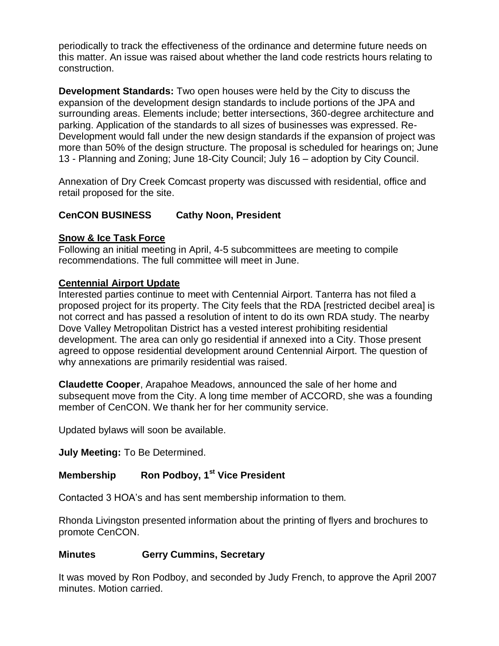periodically to track the effectiveness of the ordinance and determine future needs on this matter. An issue was raised about whether the land code restricts hours relating to construction.

**Development Standards:** Two open houses were held by the City to discuss the expansion of the development design standards to include portions of the JPA and surrounding areas. Elements include; better intersections, 360-degree architecture and parking. Application of the standards to all sizes of businesses was expressed. Re-Development would fall under the new design standards if the expansion of project was more than 50% of the design structure. The proposal is scheduled for hearings on; June 13 - Planning and Zoning; June 18-City Council; July 16 – adoption by City Council.

Annexation of Dry Creek Comcast property was discussed with residential, office and retail proposed for the site.

## **CenCON BUSINESS Cathy Noon, President**

## **Snow & Ice Task Force**

Following an initial meeting in April, 4-5 subcommittees are meeting to compile recommendations. The full committee will meet in June.

## **Centennial Airport Update**

Interested parties continue to meet with Centennial Airport. Tanterra has not filed a proposed project for its property. The City feels that the RDA [restricted decibel area] is not correct and has passed a resolution of intent to do its own RDA study. The nearby Dove Valley Metropolitan District has a vested interest prohibiting residential development. The area can only go residential if annexed into a City. Those present agreed to oppose residential development around Centennial Airport. The question of why annexations are primarily residential was raised.

**Claudette Cooper**, Arapahoe Meadows, announced the sale of her home and subsequent move from the City. A long time member of ACCORD, she was a founding member of CenCON. We thank her for her community service.

Updated bylaws will soon be available.

**July Meeting:** To Be Determined.

# **Membership Ron Podboy, 1st Vice President**

Contacted 3 HOA's and has sent membership information to them.

Rhonda Livingston presented information about the printing of flyers and brochures to promote CenCON.

#### **Minutes Gerry Cummins, Secretary**

It was moved by Ron Podboy, and seconded by Judy French, to approve the April 2007 minutes. Motion carried.